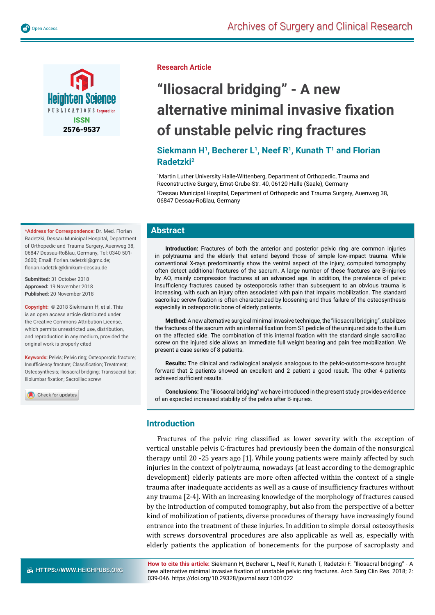

**Research Article**

# **"Iliosacral bridging" - A new alternative minimal invasive fi xation of unstable pelvic ring fractures**

# Siekmann H<sup>1</sup>, Becherer L<sup>1</sup>, Neef R<sup>1</sup>, Kunath T<sup>1</sup> and Florian **Radetzki2**

<sup>1</sup>Martin Luther University Halle-Wittenberg, Department of Orthopedic, Trauma and Reconstructive Surgery, Ernst-Grube-Str. 40, 06120 Halle (Saale), Germany 2 Dessau Municipal Hospital, Department of Orthopedic and Trauma Surgery, Auenweg 38, 06847 Dessau-Roßlau, Germany

## **Abstract**

**Introduction:** Fractures of both the anterior and posterior pelvic ring are common injuries in polytrauma and the elderly that extend beyond those of simple low-impact trauma. While conventional X-rays predominantly show the ventral aspect of the injury, computed tomography often detect additional fractures of the sacrum. A large number of these fractures are B-injuries by AO, mainly compression fractures at an advanced age. In addition, the prevalence of pelvic insufficiency fractures caused by osteoporosis rather than subsequent to an obvious trauma is increasing, with such an injury often associated with pain that impairs mobilization. The standard sacroiliac screw fixation is often characterized by loosening and thus failure of the osteosynthesis especially in osteoporotic bone of elderly patients.

**Method:** A new alternative surgical minimal invasive technique, the "iliosacral bridging", stabilizes the fractures of the sacrum with an internal fixation from S1 pedicle of the uninjured side to the ilium on the affected side. The combination of this internal fixation with the standard single sacroiliac screw on the injured side allows an immediate full weight bearing and pain free mobilization. We present a case series of 8 patients.

**Results:** The clinical and radiological analysis analogous to the pelvic-outcome-score brought forward that 2 patients showed an excellent and 2 patient a good result. The other 4 patients achieved sufficient results.

**Conclusions:** The "iliosacral bridging" we have introduced in the present study provides evidence of an expected increased stability of the pelvis after B-injuries.

## **Introduction**

Fractures of the pelvic ring classified as lower severity with the exception of vertical unstable pelvis C-fractures had previously been the domain of the nonsurgical therapy until 20 -25 years ago [1]. While young patients were mainly affected by such injuries in the context of polytrauma, nowadays (at least according to the demographic development) elderly patients are more often affected within the context of a single trauma after inadequate accidents as well as a cause of insufficiency fractures without any trauma [2-4]. With an increasing knowledge of the morphology of fractures caused by the introduction of computed tomography, but also from the perspective of a better kind of mobilization of patients, diverse procedures of therapy have increasingly found entrance into the treatment of these injuries. In addition to simple dorsal osteosythesis with screws dorsoventral procedures are also applicable as well as, especially with elderly patients the application of bonecements for the purpose of sacroplasty and

**How to cite this article:** Siekmann H, Becherer L, Neef R, Kunath T, Radetzki F. "Iliosacral bridging" - A new alternative minimal invasive fixation of unstable pelvic ring fractures. Arch Surg Clin Res. 2018; 2: 039-046. https://doi.org/10.29328/journal.ascr.1001022

**\*Address for Correspondence:** Dr. Med. Florian Radetzki, Dessau Municipal Hospital, Department of Orthopedic and Trauma Surgery, Auenweg 38, 06847 Dessau-Roßlau, Germany, Tel: 0340 501- 3600; Email: florian.radetzki@gmx.de; florian.radetzki@klinikum-dessau.de

**Submitted:** 31 October 2018 **Approved:** 19 November 2018 **Published:** 20 November 2018

**Copyright:** © 2018 Siekmann H, et al. This is an open access article distributed under the Creative Commons Attribution License, which permits unrestricted use, distribution, and reproduction in any medium, provided the original work is properly cited

**Keywords:** Pelvis; Pelvic ring; Osteoporotic fracture; Insufficiency fracture; Classification; Treatment; Osteosynthesis; Iliosacral bridging; Transsacral bar; Iliolumbar fixation; Sacroiliac screw

Check for updates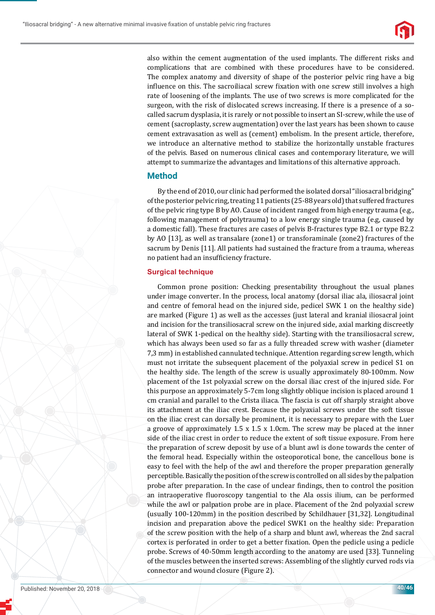

also within the cement augmentation of the used implants. The different risks and complications that are combined with these procedures have to be considered. The complex anatomy and diversity of shape of the posterior pelvic ring have a big influence on this. The sacroiliacal screw fixation with one screw still involves a high rate of loosening of the implants. The use of two screws is more complicated for the surgeon, with the risk of dislocated screws increasing. If there is a presence of a socalled sacrum dysplasia, it is rarely or not possible to insert an SI-screw, while the use of cement (sacroplasty, screw augmentation) over the last years has been shown to cause cement extravasation as well as (cement) embolism. In the present article, therefore, we introduce an alternative method to stabilize the horizontally unstable fractures of the pelvis. Based on numerous clinical cases and contemporary literature, we will attempt to summarize the advantages and limitations of this alternative approach.

## **Method**

By the end of 2010, our clinic had performed the isolated dorsal "iliosacral bridging" of the posterior pelvic ring, treating 11 patients (25-88 years old) that suffered fractures of the pelvic ring type B by AO. Cause of incident ranged from high energy trauma (e.g., following management of polytrauma) to a low energy single trauma (e.g, caused by a domestic fall). These fractures are cases of pelvis B-fractures type B2.1 or type B2.2 by AO [13], as well as transalare (zone1) or transforaminale (zone2) fractures of the sacrum by Denis [11]. All patients had sustained the fracture from a trauma, whereas no patient had an insufficiency fracture.

#### **Surgical technique**

Common prone position: Checking presentability throughout the usual planes under image converter. In the process, local anatomy (dorsal iliac ala, iliosacral joint and centre of femoral head on the injured side, pedicel SWK 1 on the healthy side) are marked (Figure 1) as well as the accesses (just lateral and kranial iliosacral joint and incision for the transiliosacral screw on the injured side, axial marking discreetly lateral of SWK 1-pedical on the healthy side). Starting with the transiliosacral screw, which has always been used so far as a fully threaded screw with washer (diameter 7,3 mm) in established cannulated technique. Attention regarding screw length, which must not irritate the subsequent placement of the polyaxial screw in pedicel S1 on the healthy side. The length of the screw is usually approximately 80-100mm. Now placement of the 1st polyaxial screw on the dorsal iliac crest of the injured side. For this purpose an approximately 5-7cm long slightly oblique incision is placed around 1 cm cranial and parallel to the Crista iliaca. The fascia is cut off sharply straight above its attachment at the iliac crest. Because the polyaxial screws under the soft tissue on the iliac crest can dorsally be prominent, it is necessary to prepare with the Luer a groove of approximately  $1.5 \times 1.5 \times 1.0$ cm. The screw may be placed at the inner side of the iliac crest in order to reduce the extent of soft tissue exposure. From here the preparation of screw deposit by use of a blunt awl is done towards the center of the femoral head. Especially within the osteoporotical bone, the cancellous bone is easy to feel with the help of the awl and therefore the proper preparation generally perceptible. Basically the position of the screw is controlled on all sides by the palpation probe after preparation. In the case of unclear findings, then to control the position an intraoperative ϐluoroscopy tangential to the Ala ossis ilium, can be performed while the awl or palpation probe are in place. Placement of the 2nd polyaxial screw (usually 100-120mm) in the position described by Schildhauer [31,32]. Longitudinal incision and preparation above the pedicel SWK1 on the healthy side: Preparation of the screw position with the help of a sharp and blunt awl, whereas the 2nd sacral cortex is perforated in order to get a better fixation. Open the pedicle using a pedicle probe. Screws of 40-50mm length according to the anatomy are used [33]. Tunneling of the muscles between the inserted screws: Assembling of the slightly curved rods via connector and wound closure (Figure 2).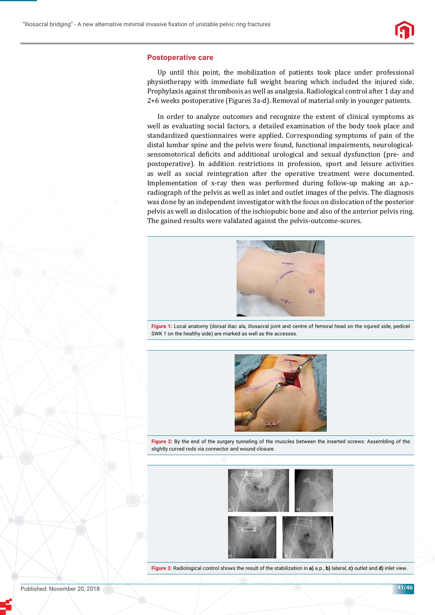

#### **Postoperative care**

Up until this point, the mobilization of patients took place under professional physiotherapy with immediate full weight bearing which included the injured side. Prophylaxis against thrombosis as well as analgesia. Radiological control after 1 day and 2+6 weeks postoperative (Figures 3a-d). Removal of material only in younger patients.

In order to analyze outcomes and recognize the extent of clinical symptoms as well as evaluating social factors, a detailed examination of the body took place and standardized questionnaires were applied. Corresponding symptoms of pain of the distal lumbar spine and the pelvis were found, functional impairments, neurologicalsensomotorical deficits and additional urological and sexual dysfunction (pre- and postoperative). In addition restrictions in profession, sport and leisure activities as well as social reintegration after the operative treatment were documented. Implementation of x-ray then was performed during follow-up making an a.p.– radiograph of the pelvis as well as inlet and outlet images of the pelvis. The diagnosis was done by an independent investigator with the focus on dislocation of the posterior pelvis as well as dislocation of the ischiopubic bone and also of the anterior pelvis ring. The gained results were validated against the pelvis-outcome-scores.



**Figure 1:** Local anatomy (dorsal iliac ala, iliosacral joint and centre of femoral head on the injured side, pedicel SWK 1 on the healthy side) are marked as well as the accesses.



**Figure 2:** By the end of the surgery tunneling of the muscles between the inserted screws: Assembling of the slightly curved rods via connector and wound closure.



**Figure 3:** Radiological control shows the result of the stabilization in **a)** a.p., **b)** lateral, **c)** outlet and **d)** inlet view.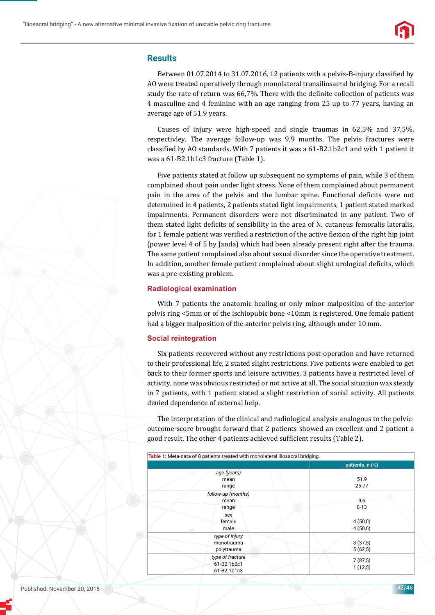

## **Results**

Between 01.07.2014 to 31.07.2016, 12 patients with a pelvis-B-injury classified by AO were treated operatively through monolateral transiliosacral bridging. For a recall study the rate of return was 66,7%. There with the definite collection of patients was 4 masculine and 4 feminine with an age ranging from 25 up to 77 years, having an average age of 51,9 years.

Causes of injury were high-speed and single traumas in 62,5% and 37,5%, respectivley. The average follow-up was 9,9 months. The pelvis fractures were classified by AO standards. With 7 patients it was a  $61-B2.1b2c1$  and with 1 patient it was a 61-B2.1b1c3 fracture (Table 1).

Five patients stated at follow up subsequent no symptoms of pain, while 3 of them complained about pain under light stress. None of them complained about permanent pain in the area of the pelvis and the lumbar spine. Functional deficits were not determined in 4 patients, 2 patients stated light impairments, 1 patient stated marked impairments. Permanent disorders were not discriminated in any patient. Two of them stated light deficits of sensibility in the area of N. cutaneus femoralis lateralis, for 1 female patient was verified a restriction of the active flexion of the right hip joint (power level 4 of 5 by Janda) which had been already present right after the trauma. The same patient complained also about sexual disorder since the operative treatment. In addition, another female patient complained about slight urological deficits, which was a pre-existing problem.

#### **Radiological examination**

With 7 patients the anatomic healing or only minor malposition of the anterior pelvis ring <5mm or of the ischiopubic bone <10mm is registered. One female patient had a bigger malposition of the anterior pelvis ring, although under 10 mm.

#### **Social reintegration**

Six patients recovered without any restrictions post-operation and have returned to their professional life, 2 stated slight restrictions. Five patients were enabled to get back to their former sports and leisure activities, 3 patients have a restricted level of activity, none was obvious restricted or not active at all. The social situation was steady in 7 patients, with 1 patient stated a slight restriction of social activity. All patients denied dependence of external help.

The interpretation of the clinical and radiological analysis analogous to the pelvicoutcome-score brought forward that 2 patients showed an excellent and 2 patient a good result. The other 4 patients achieved sufficient results (Table 2).

| Table 1: Meta-data of 8 patients treated with monolateral iliosacral bridging. |
|--------------------------------------------------------------------------------|
| patients, n (%)                                                                |
| 51.9<br>25-77                                                                  |
| 9,6<br>$8 - 13$                                                                |
| 4(50,0)<br>4(50,0)                                                             |
| 3(37,5)<br>5(62,5)                                                             |
| 7(87,5)<br>1(12,5)                                                             |
|                                                                                |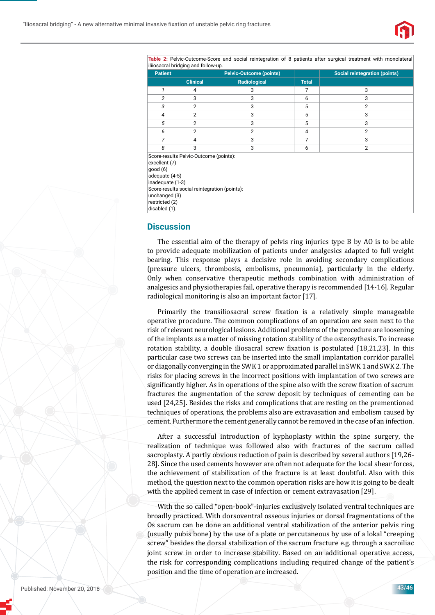

**Table 2:** Pelvic-Outcome-Score and social reintegration of 8 patients after surgical treatment with monolateral iliiosacral bridging and follow-up.

| illiosacial briuging and follow-up.                                                                                                                                                                          |                 |                                |                |                                      |  |
|--------------------------------------------------------------------------------------------------------------------------------------------------------------------------------------------------------------|-----------------|--------------------------------|----------------|--------------------------------------|--|
| <b>Patient</b>                                                                                                                                                                                               |                 | <b>Pelvic-Outcome (points)</b> |                | <b>Social reintegration (points)</b> |  |
|                                                                                                                                                                                                              | <b>Clinical</b> | Radiological                   | <b>Total</b>   |                                      |  |
| 1                                                                                                                                                                                                            | 4               | 3                              | 7              | 3                                    |  |
| 2                                                                                                                                                                                                            | 3               | 3                              | 6              | 3                                    |  |
| 3                                                                                                                                                                                                            | $\overline{2}$  | 3                              | 5              | 2                                    |  |
| $\overline{4}$                                                                                                                                                                                               | $\overline{2}$  | 3                              | 5              | 3                                    |  |
| 5                                                                                                                                                                                                            | $\overline{2}$  | 3                              | 5              | 3                                    |  |
| 6                                                                                                                                                                                                            | $\overline{2}$  | $\overline{2}$                 | 4              | 2                                    |  |
| $\overline{7}$                                                                                                                                                                                               | 4               | 3                              | $\overline{7}$ | 3                                    |  |
| 8                                                                                                                                                                                                            | 3               | 3                              | 6              | $\overline{2}$                       |  |
| Score-results Pelvic-Outcome (points):<br>excellent (7)<br>good(6)<br>adequate (4-5)<br>inadequate (1-3)<br>Score-results social reintegration (points):<br>unchanged (3)<br>restricted (2)<br>disabled (1). |                 |                                |                |                                      |  |

## **Discussion**

The essential aim of the therapy of pelvis ring injuries type B by AO is to be able to provide adequate mobilization of patients under analgesics adapted to full weight bearing. This response plays a decisive role in avoiding secondary complications (pressure ulcers, thrombosis, embolisms, pneumonia), particularly in the elderly. Only when conservative therapeutic methods combination with administration of analgesics and physiotherapies fail, operative therapy is recommended [14-16]. Regular radiological monitoring is also an important factor [17].

Primarily the transiliosacral screw fixation is a relatively simple manageable operative procedure. The common complications of an operation are seen next to the risk of relevant neurological lesions. Additional problems of the procedure are loosening of the implants as a matter of missing rotation stability of the osteosythesis. To increase rotation stability, a double iliosacral screw fixation is postulated [18,21,23]. In this particular case two screws can be inserted into the small implantation corridor parallel or diagonally converging in the SWK 1 or approximated parallel in SWK 1 and SWK 2. The risks for placing screws in the incorrect positions with implantation of two screws are significantly higher. As in operations of the spine also with the screw fixation of sacrum fractures the augmentation of the screw deposit by techniques of cementing can be used [24,25]. Besides the risks and complications that are resting on the prementioned techniques of operations, the problems also are extravasation and embolism caused by cement. Furthermore the cement generally cannot be removed in the case of an infection.

After a successful introduction of kyphoplasty within the spine surgery, the realization of technique was followed also with fractures of the sacrum called sacroplasty. A partly obvious reduction of pain is described by several authors [19,26- 28]. Since the used cements however are often not adequate for the local shear forces, the achievement of stabilization of the fracture is at least doubtful. Also with this method, the question next to the common operation risks are how it is going to be dealt with the applied cement in case of infection or cement extravasation [29].

With the so called "open-book"-injuries exclusively isolated ventral techniques are broadly practiced. With dorsoventral osseous injuries or dorsal fragmentations of the Os sacrum can be done an additional ventral stabilization of the anterior pelvis ring (usually pubis bone) by the use of a plate or percutaneous by use of a lokal "creeping screw" besides the dorsal stabilization of the sacrum fracture e.g. through a sacroiliac joint screw in order to increase stability. Based on an additional operative access, the risk for corresponding complications including required change of the patient's position and the time of operation are increased.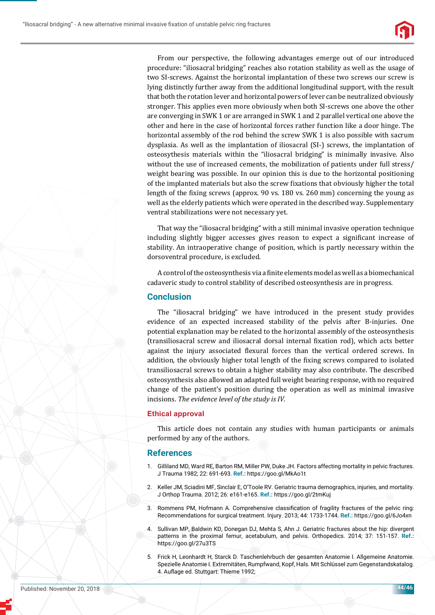

From our perspective, the following advantages emerge out of our introduced procedure: "iliosacral bridging" reaches also rotation stability as well as the usage of two SI-screws. Against the horizontal implantation of these two screws our screw is lying distinctly further away from the additional longitudinal support, with the result that both the rotation lever and horizontal powers of lever can be neutralized obviously stronger. This applies even more obviously when both SI-screws one above the other are converging in SWK 1 or are arranged in SWK 1 and 2 parallel vertical one above the other and here in the case of horizontal forces rather function like a door hinge. The horizontal assembly of the rod behind the screw SWK 1 is also possible with sacrum dysplasia. As well as the implantation of iliosacral (SI-) screws, the implantation of osteosythesis materials within the "iliosacral bridging" is minimally invasive. Also without the use of increased cements, the mobilization of patients under full stress/ weight bearing was possible. In our opinion this is due to the horizontal positioning of the implanted materials but also the screw fixations that obviously higher the total length of the fixing screws (approx.  $90 \text{ vs. } 180 \text{ vs. } 260 \text{ mm}$ ) concerning the young as well as the elderly patients which were operated in the described way. Supplementary ventral stabilizations were not necessary yet.

That way the "iliosacral bridging" with a still minimal invasive operation technique including slightly bigger accesses gives reason to expect a significant increase of stability. An intraoperative change of position, which is partly necessary within the dorsoventral procedure, is excluded.

A control of the osteosynthesis via a finite elements model as well as a biomechanical cadaveric study to control stability of described osteosynthesis are in progress.

#### **Conclusion**

The "iliosacral bridging" we have introduced in the present study provides evidence of an expected increased stability of the pelvis after B-injuries. One potential explanation may be related to the horizontal assembly of the osteosynthesis (transiliosacral screw and iliosacral dorsal internal ϐixation rod), which acts better against the injury associated flexural forces than the vertical ordered screws. In addition, the obviously higher total length of the fixing screws compared to isolated transiliosacral screws to obtain a higher stability may also contribute. The described osteosynthesis also allowed an adapted full weight bearing response, with no required change of the patient's position during the operation as well as minimal invasive incisions. *The evidence level of the study is IV*.

#### **Ethical approval**

This article does not contain any studies with human participants or animals performed by any of the authors.

#### **References**

- 1. Gilliland MD, Ward RE, Barton RM, Miller PW, Duke JH. Factors affecting mortality in pelvic fractures. J Trauma 1982; 22: 691-693. **Ref.:** https://goo.gl/MkAo1t
- 2. Keller JM, Sciadini MF, Sinclair E, O'Toole RV. Geriatric trauma demographics, injuries, and mortality. J Orthop Trauma. 2012; 26: e161-e165. **Ref.:** https://goo.gl/2tmKuj
- 3. Rommens PM, Hofmann A. Comprehensive classification of fragility fractures of the pelvic ring: Recommendations for surgical treatment. Injury. 2013; 44: 1733-1744. **Ref.:** https://goo.gl/6Jo4xn
- 4. Sullivan MP, Baldwin KD, Donegan DJ, Mehta S, Ahn J. Geriatric fractures about the hip: divergent patterns in the proximal femur, acetabulum, and pelvis. Orthopedics. 2014; 37: 151-157. **Ref.:** https://goo.gl/27u3TS
- 5. Frick H, Leonhardt H, Starck D. Taschenlehrbuch der gesamten Anatomie I. Allgemeine Anatomie. Spezielle Anatomie I. Extremitäten, Rumpfwand, Kopf, Hals. Mit Schlüssel zum Gegenstandskatalog. 4. Auflage ed. Stuttgart: Thieme 1992;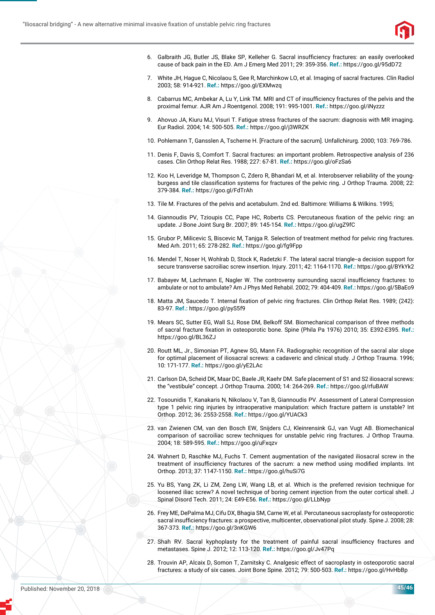

- 6. Galbraith JG, Butler JS, Blake SP, Kelleher G. Sacral insufficiency fractures: an easily overlooked cause of back pain in the ED. Am J Emerg Med 2011; 29: 359-356. **Ref.:** https://goo.gl/95dD72
- 7. White JH, Hague C, Nicolaou S, Gee R, Marchinkow LO, et al. Imaging of sacral fractures. Clin Radiol 2003; 58: 914-921. **Ref.:** https://goo.gl/EXMwzq
- 8. Cabarrus MC, Ambekar A, Lu Y, Link TM. MRI and CT of insufficiency fractures of the pelvis and the proximal femur. AJR Am J Roentgenol. 2008; 191: 995-1001. **Ref.:** https://goo.gl/iNyzzz
- 9. Ahovuo JA, Kiuru MJ, Visuri T. Fatigue stress fractures of the sacrum: diagnosis with MR imaging. Eur Radiol. 2004; 14: 500-505. **Ref.:** https://goo.gl/j3WRZK
- 10. Pohlemann T, Gansslen A, Tscherne H. [Fracture of the sacrum]. Unfallchirurg. 2000; 103: 769-786.
- 11. Denis F, Davis S, Comfort T. Sacral fractures: an important problem. Retrospective analysis of 236 cases. Clin Orthop Relat Res. 1988; 227: 67-81. **Ref.:** https://goo.gl/oFzSa6
- 12. Koo H, Leveridge M, Thompson C, Zdero R, Bhandari M, et al. Interobserver reliability of the youngburgess and tile classification systems for fractures of the pelvic ring. J Orthop Trauma. 2008; 22: 379-384. **Ref.:** https://goo.gl/FdTrAh
- 13. Tile M. Fractures of the pelvis and acetabulum. 2nd ed. Baltimore: Williams & Wilkins. 1995;
- 14. Giannoudis PV, Tzioupis CC, Pape HC, Roberts CS. Percutaneous fixation of the pelvic ring: an update. J Bone Joint Surg Br. 2007; 89: 145-154. **Ref.:** https://goo.gl/ugZ9fC
- 15. Grubor P, Milicevic S, Biscevic M, Tanjga R. Selection of treatment method for pelvic ring fractures. Med Arh. 2011; 65: 278-282. **Ref.:** https://goo.gl/fg9Fpp
- 16. Mendel T, Noser H, Wohlrab D, Stock K, Radetzki F. The lateral sacral triangle--a decision support for secure transverse sacroiliac screw insertion. Injury. 2011; 42: 1164-1170. **Ref.:** https://goo.gl/BYkYk2
- 17. Babayev M, Lachmann E, Nagler W. The controversy surrounding sacral insufficiency fractures: to ambulate or not to ambulate? Am J Phys Med Rehabil. 2002; 79: 404-409. **Ref.:** https://goo.gl/5BaEo9
- 18. Matta JM, Saucedo T. Internal fixation of pelvic ring fractures. Clin Orthop Relat Res. 1989; (242): 83-97. **Ref.:** https://goo.gl/pyS5f9
- 19. Mears SC, Sutter EG, Wall SJ, Rose DM, Belkoff SM. Biomechanical comparison of three methods of sacral fracture fixation in osteoporotic bone. Spine (Phila Pa 1976) 2010; 35: E392-E395. Ref.: https://goo.gl/BL36ZJ
- 20. Routt ML, Jr., Simonian PT, Agnew SG, Mann FA. Radiographic recognition of the sacral alar slope for optimal placement of iliosacral screws: a cadaveric and clinical study. J Orthop Trauma. 1996; 10: 171-177. **Ref.:** https://goo.gl/yE2LAc
- 21. Carlson DA, Scheid DK, Maar DC, Baele JR, Kaehr DM. Safe placement of S1 and S2 iliosacral screws: the "vestibule" concept. J Orthop Trauma. 2000; 14: 264-269. **Ref.:** https://goo.gl/rfuBAW
- 22. Tosounidis T, Kanakaris N, Nikolaou V, Tan B, Giannoudis PV. Assessment of Lateral Compression type 1 pelvic ring injuries by intraoperative manipulation: which fracture pattern is unstable? Int Orthop. 2012; 36: 2553-2558. **Ref.:** https://goo.gl/YUACk3
- 23. van Zwienen CM, van den Bosch EW, Snijders CJ, Kleinrensink GJ, van Vugt AB. Biomechanical comparison of sacroiliac screw techniques for unstable pelvic ring fractures. J Orthop Trauma. 2004; 18: 589-595. **Ref.:** https://goo.gl/uFxqzv
- 24. Wahnert D, Raschke MJ, Fuchs T. Cement augmentation of the navigated iliosacral screw in the treatment of insufficiency fractures of the sacrum: a new method using modified implants. Int Orthop. 2013; 37: 1147-1150. **Ref.:** https://goo.gl/huSi7G
- 25. Yu BS, Yang ZK, Li ZM, Zeng LW, Wang LB, et al. Which is the preferred revision technique for loosened iliac screw? A novel technique of boring cement injection from the outer cortical shell. J Spinal Disord Tech. 2011; 24: E49-E56. **Ref.:** https://goo.gl/LLbNyp
- 26. Frey ME, DePalma MJ, Cifu DX, Bhagia SM, Carne W, et al. Percutaneous sacroplasty for osteoporotic sacral insufficiency fractures: a prospective, multicenter, observational pilot study. Spine J. 2008; 28: 367-373. **Ref.:** https://goo.gl/3nKGW6
- 27. Shah RV. Sacral kyphoplasty for the treatment of painful sacral insufficiency fractures and metastases. Spine J. 2012; 12: 113-120. **Ref.:** https://goo.gl/Jv47Pq
- 28. Trouvin AP, Alcaix D, Somon T, Zarnitsky C. Analgesic effect of sacroplasty in osteoporotic sacral fractures: a study of six cases. Joint Bone Spine. 2012; 79: 500-503. **Ref.:** https://goo.gl/HvHbBp